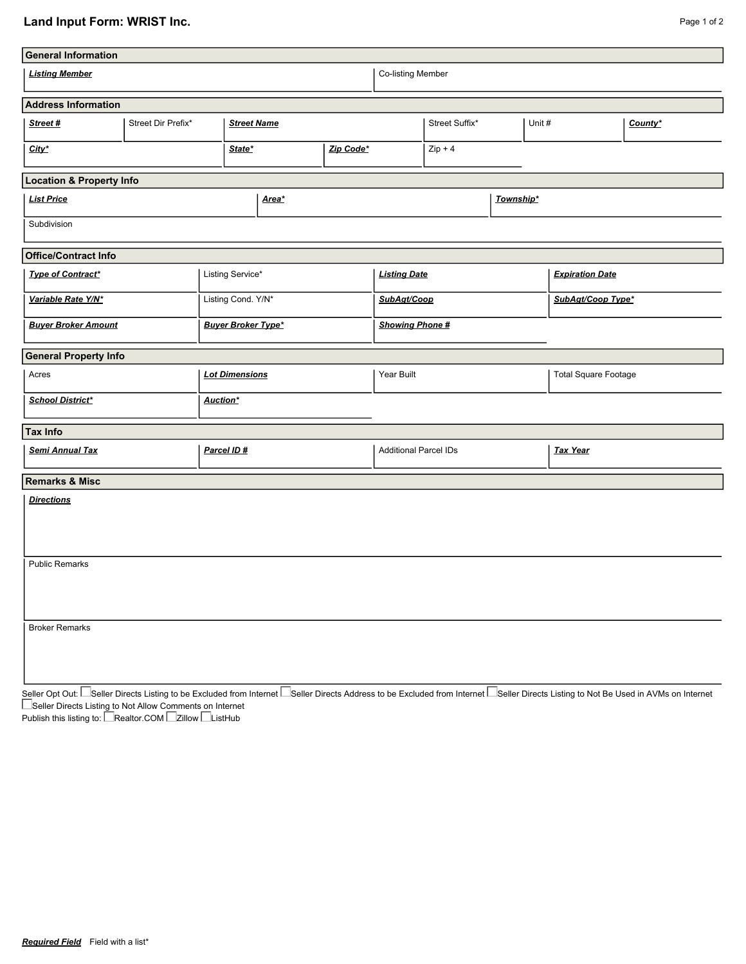## Land Input Form: WRIST Inc. **Page 1 of 2**

| <b>General Information</b>          |                    |             |                           |        |  |                              |                   |  |        |                             |         |  |
|-------------------------------------|--------------------|-------------|---------------------------|--------|--|------------------------------|-------------------|--|--------|-----------------------------|---------|--|
| <b>Listing Member</b>               |                    |             |                           |        |  |                              | Co-listing Member |  |        |                             |         |  |
| <b>Address Information</b>          |                    |             |                           |        |  |                              |                   |  |        |                             |         |  |
| Street#                             | Street Dir Prefix* |             | <b>Street Name</b>        |        |  |                              | Street Suffix*    |  | Unit # |                             | County* |  |
| City*                               |                    |             |                           | State* |  |                              | $Zip + 4$         |  |        |                             |         |  |
| <b>Location &amp; Property Info</b> |                    |             |                           |        |  |                              |                   |  |        |                             |         |  |
| <b>List Price</b>                   |                    |             | Area*                     |        |  | Township*                    |                   |  |        |                             |         |  |
| Subdivision                         |                    |             |                           |        |  |                              |                   |  |        |                             |         |  |
| <b>Office/Contract Info</b>         |                    |             |                           |        |  |                              |                   |  |        |                             |         |  |
| <b>Type of Contract*</b>            |                    |             | Listing Service*          |        |  | <b>Listing Date</b>          |                   |  |        | <b>Expiration Date</b>      |         |  |
| Variable Rate Y/N*                  |                    |             | Listing Cond. Y/N*        |        |  | SubAgt/Coop                  |                   |  |        | SubAgt/Coop Type*           |         |  |
| <b>Buyer Broker Amount</b>          |                    |             | <b>Buyer Broker Type*</b> |        |  | <b>Showing Phone #</b>       |                   |  |        |                             |         |  |
| <b>General Property Info</b>        |                    |             |                           |        |  |                              |                   |  |        |                             |         |  |
| Acres                               |                    |             | <b>Lot Dimensions</b>     |        |  | Year Built                   |                   |  |        | <b>Total Square Footage</b> |         |  |
| <b>School District*</b>             | Auction*           |             |                           |        |  |                              |                   |  |        |                             |         |  |
| <b>Tax Info</b>                     |                    |             |                           |        |  |                              |                   |  |        |                             |         |  |
| <b>Semi Annual Tax</b>              |                    | Parcel ID # |                           |        |  | <b>Additional Parcel IDs</b> |                   |  |        | <b>Tax Year</b>             |         |  |
| <b>Remarks &amp; Misc</b>           |                    |             |                           |        |  |                              |                   |  |        |                             |         |  |
| <b>Directions</b>                   |                    |             |                           |        |  |                              |                   |  |        |                             |         |  |
| <b>Public Remarks</b>               |                    |             |                           |        |  |                              |                   |  |        |                             |         |  |
| <b>Broker Remarks</b>               |                    |             |                           |        |  |                              |                   |  |        |                             |         |  |

Seller Opt Out: I\_Seller Directs Listing to be Excluded from Internet I\_Seller Directs Address to be Excluded from Internet I\_Seller Directs Listing to Not Be Used in AVMs on Internet Seller Directs Listing to Not Allow Comments on Internet

Publish this listing to: L\_Realtor.COM L\_Zillow L\_ListHub